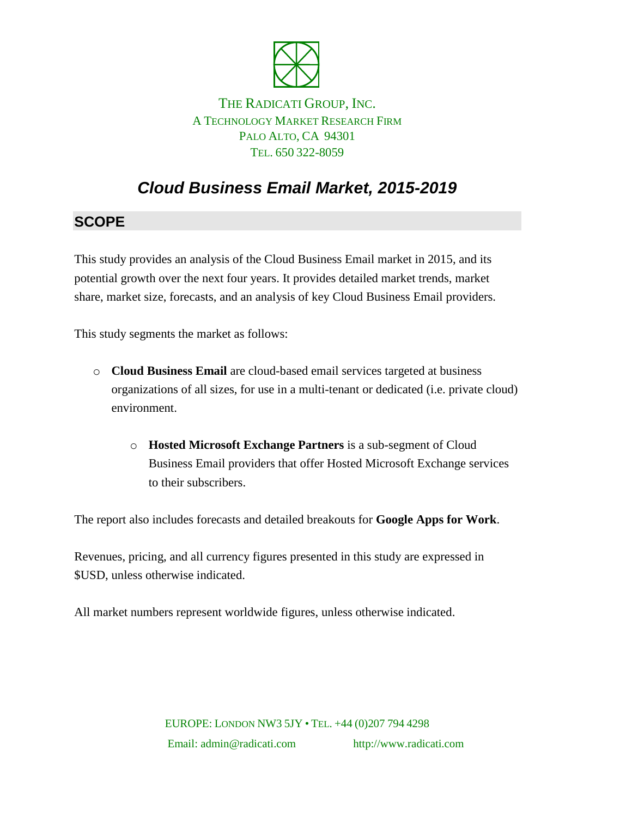

### THE RADICATI GROUP, INC. A TECHNOLOGY MARKET RESEARCH FIRM PALO ALTO, CA 94301 TEL. 650 322-8059

# *Cloud Business Email Market, 2015-2019*

## **SCOPE**

This study provides an analysis of the Cloud Business Email market in 2015, and its potential growth over the next four years. It provides detailed market trends, market share, market size, forecasts, and an analysis of key Cloud Business Email providers.

This study segments the market as follows:

- o **Cloud Business Email** are cloud-based email services targeted at business organizations of all sizes, for use in a multi-tenant or dedicated (i.e. private cloud) environment.
	- o **Hosted Microsoft Exchange Partners** is a sub-segment of Cloud Business Email providers that offer Hosted Microsoft Exchange services to their subscribers.

The report also includes forecasts and detailed breakouts for **Google Apps for Work**.

Revenues, pricing, and all currency figures presented in this study are expressed in \$USD, unless otherwise indicated.

All market numbers represent worldwide figures, unless otherwise indicated.

EUROPE: LONDON NW3 5JY • TEL. +44 (0)207 794 4298 Email: admin@radicati.com http://www.radicati.com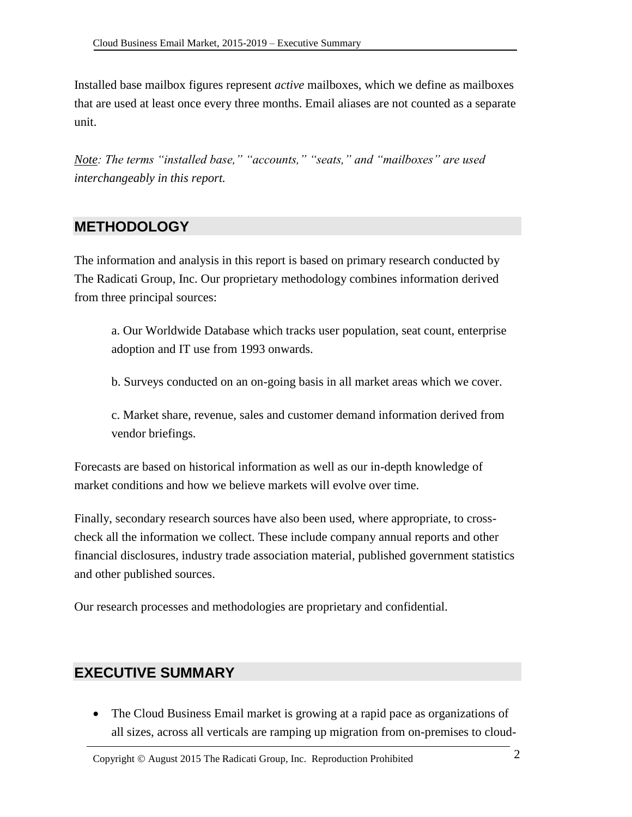Installed base mailbox figures represent *active* mailboxes, which we define as mailboxes that are used at least once every three months. Email aliases are not counted as a separate unit.

*Note: The terms "installed base," "accounts," "seats," and "mailboxes" are used interchangeably in this report.*

### **METHODOLOGY**

The information and analysis in this report is based on primary research conducted by The Radicati Group, Inc. Our proprietary methodology combines information derived from three principal sources:

a. Our Worldwide Database which tracks user population, seat count, enterprise adoption and IT use from 1993 onwards.

b. Surveys conducted on an on-going basis in all market areas which we cover.

c. Market share, revenue, sales and customer demand information derived from vendor briefings.

Forecasts are based on historical information as well as our in-depth knowledge of market conditions and how we believe markets will evolve over time.

Finally, secondary research sources have also been used, where appropriate, to crosscheck all the information we collect. These include company annual reports and other financial disclosures, industry trade association material, published government statistics and other published sources.

Our research processes and methodologies are proprietary and confidential.

## **EXECUTIVE SUMMARY**

 The Cloud Business Email market is growing at a rapid pace as organizations of all sizes, across all verticals are ramping up migration from on-premises to cloud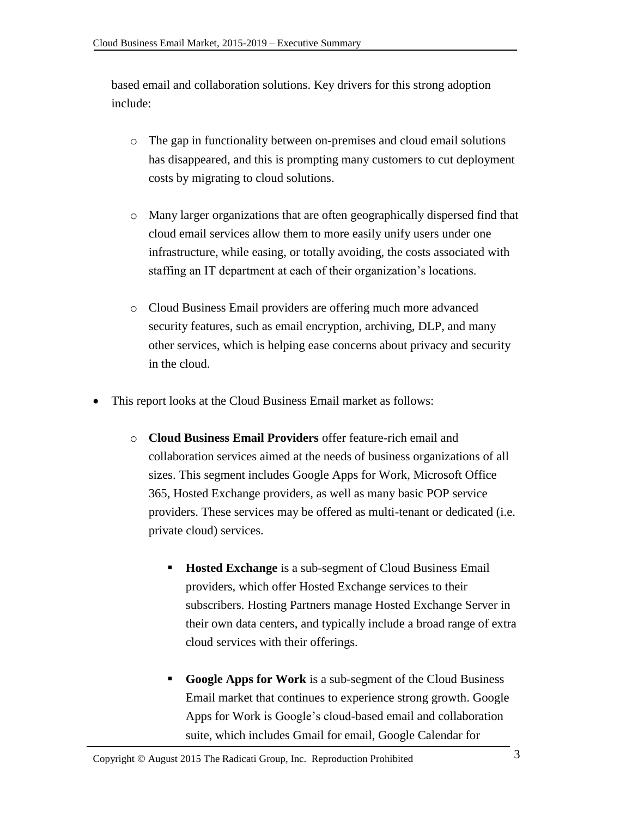based email and collaboration solutions. Key drivers for this strong adoption include:

- o The gap in functionality between on-premises and cloud email solutions has disappeared, and this is prompting many customers to cut deployment costs by migrating to cloud solutions.
- o Many larger organizations that are often geographically dispersed find that cloud email services allow them to more easily unify users under one infrastructure, while easing, or totally avoiding, the costs associated with staffing an IT department at each of their organization's locations.
- o Cloud Business Email providers are offering much more advanced security features, such as email encryption, archiving, DLP, and many other services, which is helping ease concerns about privacy and security in the cloud.
- This report looks at the Cloud Business Email market as follows:
	- o **Cloud Business Email Providers** offer feature-rich email and collaboration services aimed at the needs of business organizations of all sizes. This segment includes Google Apps for Work, Microsoft Office 365, Hosted Exchange providers, as well as many basic POP service providers. These services may be offered as multi-tenant or dedicated (i.e. private cloud) services.
		- **Hosted Exchange** is a sub-segment of Cloud Business Email providers, which offer Hosted Exchange services to their subscribers. Hosting Partners manage Hosted Exchange Server in their own data centers, and typically include a broad range of extra cloud services with their offerings.
		- **Google Apps for Work** is a sub-segment of the Cloud Business Email market that continues to experience strong growth. Google Apps for Work is Google's cloud-based email and collaboration suite, which includes Gmail for email, Google Calendar for